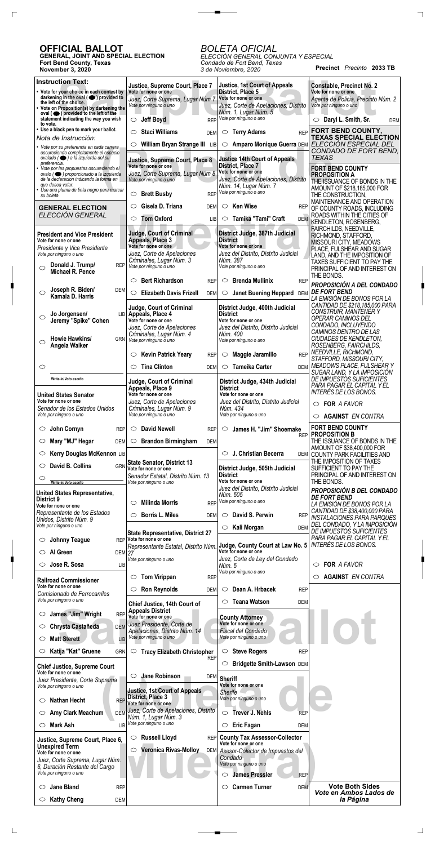**Precinct** *Precinto* **2033 TB**

## **OFFICIAL BALLOT**

 $\Gamma$ 

 $\Box$ 

**GENERAL, JOINT AND SPECIAL ELECTION Fort Bend County, Texas November 3, 2020**

## *BOLETA OFICIAL*

 $\overline{\phantom{a}}$  and  $\overline{\phantom{a}}$ 

*ELECCIÓN GENERAL CONJUNTA Y ESPECIAL Condado de Fort Bend, Texas 3 de Noviembre, 2020*

| <b>Instruction Text:</b>                                                                             | Justice, Supreme Court, Place 7                                      | <b>Justice, 1st Court of Appeals</b>                         | <b>Constable, Precinct No. 2</b>                                         |
|------------------------------------------------------------------------------------------------------|----------------------------------------------------------------------|--------------------------------------------------------------|--------------------------------------------------------------------------|
| • Vote for your choice in each contest by<br>darkening in the oval $($ $\bullet)$ provided to        | Vote for none or one                                                 | District, Place 5<br>Vote for none or one                    | Vote for none or one                                                     |
| the left of the choice.<br>• Vote on Proposition(s) by darkening the                                 | Juez, Corte Suprema, Lugar Núm 7<br>Vote por ninguno o uno           | Juez, Corte de Apelaciones, Distrito                         | Agente de Policia, Precinto Núm. 2<br>Vote por ninguno o uno             |
| oval $($ $\bullet)$ provided to the left of the<br>statement indicating the way you wish             | <b>Jeff Boyd</b><br><b>REP</b><br>$\circ$                            | Núm. 1, Lugar Núm. 5<br>Vote por ninguno o uno               | Daryl L. Smith, Sr.<br><b>DEM</b>                                        |
| to vote.<br>• Use a black pen to mark your ballot.                                                   | <b>Staci Williams</b><br>$\circlearrowright$                         | <b>REP</b>                                                   | FORT BEND COUNTY,                                                        |
| Nota de Instrucción:                                                                                 | <b>DEM</b>                                                           | <b>Terry Adams</b><br>$\circ$                                | <b>TEXAS SPECIAL ELECTION</b>                                            |
| • Vote por su preferencia en cada carrera<br>oscureciendo completamente el espacio                   | William Bryan Strange III LIB<br>$\circ$                             | $\circ$                                                      | Amparo Monique Guerra DEM ELECCIÓN ESPECIAL DEL<br>CONDADO DE FORT BEND, |
| ovalado ( · ) a la izquierda del su<br>preferencia.                                                  | Justice, Supreme Court, Place 8                                      | <b>Justice 14th Court of Appeals</b>                         | <b>TEXAS</b>                                                             |
| Vote por las propuestas oscureciendo el<br>$\alpha$ valo ( $\bigcirc$ ) proporcionado a la izquierda | Vote for none or one<br>Juez, Corte Suprema, Lugar Núm 8             | District, Place 7<br>Vote for none or one                    | <b>FORT BEND COUNTY</b><br><b>PROPOSITION A</b>                          |
| de la declaración indicando la forma en<br>que desea votar.                                          | Vote por ninguno o uno                                               | Juez, Corte de Apelaciones, Distrito                         | THE ISSUANCE OF BONDS IN THE                                             |
| • Use una pluma de tinta negro para marcar<br>su boleta.                                             | <b>Brett Busby</b><br><b>REP</b><br>$\circ$                          | Núm. 14, Lugar Núm. 7<br>Vote por ninguno o uno              | AMOUNT OF \$218,185,000 FOR<br>THE CONSTRUCTION.                         |
| <b>GENERAL ELECTION</b>                                                                              | Gisela D. Triana<br>$\circ$<br><b>DEM</b>                            | Ken Wise<br>$\circ$<br><b>REP</b>                            | MAINTENANCE AND OPERATION                                                |
| ELECCIÓN GENERAL                                                                                     | <b>Tom Oxford</b><br>$\circ$                                         | ○ Tamika "Tami" Craft                                        | OF COUNTY ROADS, INCLUDING<br>ROADS WITHIN THE CITIES OF                 |
|                                                                                                      | LIB                                                                  | <b>DEM</b>                                                   | <b>KENDLETON, ROSENBERG,</b><br>FAIRCHILDS, NEEDVILLE,                   |
| <b>President and Vice President</b><br>Vote for none or one                                          | <b>Judge, Court of Criminal</b><br>Appeals, Place 3                  | District Judge, 387th Judicial<br><b>District</b>            | RICHMOND, STAFFORD,                                                      |
| Presidente y Vice Presidente                                                                         | Vote for none or one                                                 | Vote for none or one                                         | MISSOURI CITY, MEADOWS<br>PLACE, FULSHEAR AND SUGAR                      |
| Vote por ninguno o uno                                                                               | Juez, Corte de Apelaciones<br>Criminales, Lugar Núm. 3               | Juez del Distrito, Distrito Judicial<br>Núm. 387             | LAND, AND THE IMPOSITION OF<br>TAXES SUFFICIENT TO PAY THE               |
| Donald J. Trump/<br><b>REP</b><br>$\bigcirc$<br>Michael R. Pence                                     | Vote por ninguno o uno                                               | Vote por ninguno o uno                                       | PRINCIPAL OF AND INTEREST ON                                             |
|                                                                                                      | <b>Bert Richardson</b><br>$\circ$<br><b>REP</b>                      | <b>Brenda Mullinix</b><br>$\circ$<br><b>REP</b>              | THE BONDS.                                                               |
| Joseph R. Biden/<br>DEM<br>O                                                                         | <b>Elizabeth Davis Frizell</b><br>$\circ$<br><b>DEM</b>              | <b>Janet Buening Heppard</b><br>$\circ$<br><b>DEM</b>        | PROPOSICIÓN A DEL CONDADO<br><b>DE FORT BEND</b>                         |
| Kamala D. Harris                                                                                     |                                                                      |                                                              | LA EMISIÓN DE BONOS POR LA<br>CANTIDAD DE \$218,185,000 PARA             |
| Jo Jorgensen/<br><b>LIB</b>                                                                          | Judge, Court of Criminal<br>Appeals, Place 4                         | District Judge, 400th Judicial<br><b>District</b>            | <b>CONSTRUIR, MANTENER Y</b>                                             |
| $\bigcirc$<br>Jeremy "Spike" Cohen                                                                   | Vote for none or one                                                 | Vote for none or one                                         | OPERAR CAMINOS DEL<br>CONDADO, INCLUYENDO                                |
|                                                                                                      | Juez, Corte de Apelaciones<br>Criminales, Lugar Núm. 4               | Juez del Distrito, Distrito Judicial<br>Núm. 400             | CAMINOS DENTRO DE LAS                                                    |
| Howie Hawkins/<br><b>GRN</b><br>$\circ$<br>Angela Walker                                             | Vote por ninguno o uno                                               | Vote por ninguno o uno                                       | CIUDADES DE KENDLETON,<br>ROSENBERG, FAIRCHILDS,                         |
|                                                                                                      | <b>Kevin Patrick Yeary</b><br>$\circ$<br><b>REP</b>                  | Maggie Jaramillo<br><b>REP</b><br>$\circ$                    | NEEDVILLE, RICHMOND,<br>STAFFORD, MISSOURI CITY,                         |
| $\circlearrowright$                                                                                  | <b>Tina Clinton</b><br>$\circlearrowright$<br><b>DEM</b>             | <b>Tameika Carter</b><br>$\circ$<br><b>DEM</b>               | <b>MEADOWS PLACE, FULSHEAR Y</b>                                         |
| Write-in/Voto escrito                                                                                |                                                                      |                                                              | SUGAR LAND, Y LA IMPOSICIÓN<br><i>DE IMPUESTOS SUFICIENTES</i>           |
|                                                                                                      | <b>Judge, Court of Criminal</b><br>Appeals, Place 9                  | District Judge, 434th Judicial<br><b>District</b>            | PARA PAGAR EL CAPITAL Y EL                                               |
| <b>United States Senator</b><br>Vote for none or one                                                 | Vote for none or one                                                 | Vote for none or one                                         | INTERÉS DE LOS BONOS.                                                    |
| Senador de los Estados Unidos                                                                        | Juez, Corte de Apelaciones<br>Criminales, Lugar Núm. 9               | Juez del Distrito, Distrito Judicial<br>Núm. 434             | $\circ$ FOR A FAVOR                                                      |
| Vote por ninguno o uno                                                                               | Vote por ninguno o uno                                               | Vote por ninguno o uno                                       | <b>AGAINST EN CONTRA</b>                                                 |
| John Cornyn<br><b>REP</b><br>O                                                                       | <b>David Newell</b><br>O<br><b>REP</b>                               | James H. "Jim" Shoemake<br>O                                 | <b>FORT BEND COUNTY</b>                                                  |
| Mary "MJ" Hegar<br><b>DEM</b><br>O                                                                   | $\circ$ Brandon Birmingham<br><b>DEM</b>                             | <b>REP</b>                                                   | <b>PROPOSITION B</b><br>THE ISSUANCE OF BONDS IN THE                     |
| Kerry Douglas McKennon LIB<br>O                                                                      |                                                                      | J. Christian Becerra<br>$\circ$<br>DEM                       | AMOUNT OF \$38,400,000 FOR<br>COUNTY PARK FACILITIES AND                 |
| David B. Collins<br>$\circ$<br><b>GRN</b>                                                            | <b>State Senator, District 13</b>                                    |                                                              | THE IMPOSITION OF TAXES                                                  |
|                                                                                                      | Vote for none or one<br>Senador Estatal, Distrito Núm. 13            | District Judge, 505th Judicial<br><b>District</b>            | SUFFICIENT TO PAY THE<br>PRINCIPAL OF AND INTEREST ON                    |
| O<br>Write-in/Voto escrito                                                                           | Vote por ninguno o uno                                               | Vote for none or one                                         | THE BONDS.                                                               |
| <b>United States Representative,</b>                                                                 |                                                                      | Juez del Distrito, Distrito Judicial<br>Núm. 505             | <b>PROPOSICIÓN B DEL CONDADO</b><br><b>DE FORT BEND</b>                  |
| District 9<br>Vote for none or one                                                                   | <b>Milinda Morris</b><br><b>REP</b><br>O                             | Vote por ninguno o uno                                       | LA EMISIÓN DE BONOS POR LA                                               |
| Representante de los Estados<br>Unidos, Distrito Núm. 9                                              | <b>Borris L. Miles</b><br><b>DEM</b><br>O                            | David S. Perwin<br>$\circ$<br><b>REP</b>                     | CANTIDAD DE \$38,400,000 PARA<br><b>INSTALACIONES PARA PARQUES</b>       |
| Vote por ninguno o uno                                                                               |                                                                      | $\circ$ Kali Morgan<br><b>DEM</b>                            | DEL CONDADO, Y LA IMPOSICIÓN<br>DE IMPUESTOS SUFICIENTES                 |
| <b>Johnny Teague</b><br>O                                                                            | <b>State Representative, District 27</b><br>REP Vote for none or one |                                                              | PARA PAGAR EL CAPITAL Y EL                                               |
| Al Green<br>$\circ$<br><b>DEM 27</b>                                                                 | Representante Estatal, Distrito Núm.                                 | Judge, County Court at Law No. 5<br>Vote for none or one     | INTERÉS DE LOS BONOS.                                                    |
|                                                                                                      | Vote por ninguno o uno                                               | Juez, Corte de Ley del Condado                               |                                                                          |
| Jose R. Sosa<br><b>LIB</b>                                                                           |                                                                      | Núm. 5<br>Vote por ninguno o uno                             | FOR A FAVOR<br>O                                                         |
| <b>Railroad Commissioner</b>                                                                         | <b>Tom Virippan</b><br><b>REP</b><br>$\circ$                         |                                                              | <b>AGAINST EN CONTRA</b>                                                 |
| Vote for none or one<br>Comisionado de Ferrocarriles                                                 | <b>Ron Reynolds</b><br>$\circ$<br><b>DEM</b>                         | Dean A. Hrbacek<br><b>REP</b><br>$\circ$                     |                                                                          |
| Vote por ninguno o uno                                                                               | Chief Justice, 14th Court of                                         | <b>Teana Watson</b><br>$\circ$<br><b>DEM</b>                 |                                                                          |
| James "Jim" Wright<br><b>REP</b><br>$\circlearrowright$                                              | <b>Appeals District</b><br>Vote for none or one                      | <b>County Attorney</b>                                       |                                                                          |
| Chrysta Castañeda<br><b>DEM</b><br>O                                                                 | Juez Presidente, Corte de                                            | Vote for none or one                                         |                                                                          |
| <b>Matt Sterett</b><br>O                                                                             | Apelaciones, Distrito Núm. 14<br>Vote por ninguno o uno              | Fiscal del Condado<br>Vote por ninguno o uno                 |                                                                          |
| LIB                                                                                                  |                                                                      |                                                              |                                                                          |
| Katija "Kat" Gruene<br>$\circ$<br><b>GRN</b>                                                         | $\circ$<br><b>Tracy Elizabeth Christopher</b><br><b>REP</b>          | <b>Steve Rogers</b><br>$\circ$<br><b>REP</b>                 |                                                                          |
| <b>Chief Justice, Supreme Court</b>                                                                  |                                                                      | $\circ$<br>Bridgette Smith-Lawson DEM                        |                                                                          |
| Vote for none or one<br>Juez Presidente, Corte Suprema                                               | <b>Jane Robinson</b><br>$\circ$                                      | DEM Sheriff                                                  |                                                                          |
| Vote por ninguno o uno                                                                               | <b>Justice, 1st Court of Appeals</b>                                 | Vote for none or one<br>Sherife                              |                                                                          |
| <b>Nathan Hecht</b><br><b>REP</b><br>O                                                               | District, Place 3<br>Vote for none or one                            | Vote por ninguno o uno                                       |                                                                          |
| Amy Clark Meachum<br>O                                                                               | DEM Juez, Corte de Apelaciones, Distrito                             | <b>Trever J. Nehls</b><br>$\circ$<br><b>REP</b>              |                                                                          |
| Mark Ash<br><b>LIB</b><br>O                                                                          | Núm. 1, Lugar Núm. 3<br>Vote por ninguno o uno                       | $\circ$ Eric Fagan                                           |                                                                          |
|                                                                                                      |                                                                      | <b>DEM</b>                                                   |                                                                          |
| Justice, Supreme Court, Place 6,<br><b>Unexpired Term</b>                                            | <b>Russell Lloyd</b><br><b>REP</b><br>$\circ$                        | <b>County Tax Assessor-Collector</b><br>Vote for none or one |                                                                          |
| Vote for none or one                                                                                 | <b>Veronica Rivas-Molloy</b><br>O<br>DEM                             | Asesor-Colector de Impuestos del<br>Condado                  |                                                                          |
| Juez, Corte Suprema, Lugar Núm.<br>6, Duración Restante del Cargo                                    |                                                                      | Vote por ninguno o uno                                       |                                                                          |
| Vote por ninguno o uno                                                                               |                                                                      | <b>James Pressler</b><br><b>REP</b><br>◯                     |                                                                          |
| <b>Jane Bland</b><br><b>REP</b><br>O                                                                 |                                                                      | <b>Carmen Turner</b><br>$\circ$<br><b>DEM</b>                | <b>Vote Both Sides</b>                                                   |
| <b>Kathy Cheng</b><br>DEM<br>O                                                                       |                                                                      |                                                              | Vote en Ambos Lados de<br>la Página                                      |

 $\Box$